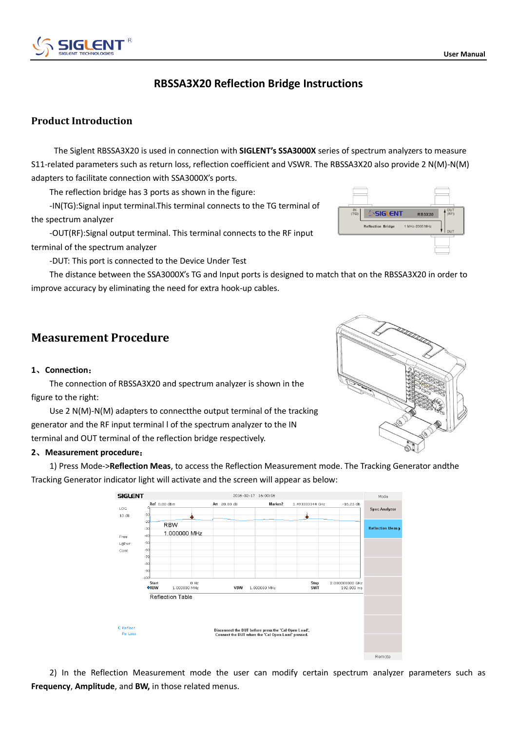# **RBSSA3X20 Reflection Bridge Instructions**

## **Product Introduction**

The Siglent RBSSA3X20 is used in connection with **SIGLENT's SSA3000X** series of spectrum analyzers to measure S11-related parameters such as return loss, reflection coefficient and VSWR. The RBSSA3X20 also provide 2 N(M)-N(M) adapters to facilitate connection with SSA3000X's ports.

The reflection bridge has 3 ports as shown in the figure:

-IN(TG):Signal input terminal.This terminal connects to the TG terminal of the spectrum analyzer

-OUT(RF):Signal output terminal. This terminal connects to the RF input terminal of the spectrum analyzer

-DUT: This port is connected to the Device Under Test

The distance between the SSA3000X's TG and Input ports is designed to match that on the RBSSA3X20 in order to improve accuracy by eliminating the need for extra hook-up cables.

# **Measurement Procedure**

### **1**、**Connection**:

The connection of RBSSA3X20 and spectrum analyzer is shown in the figure to the right:

Use 2 N(M)-N(M) adapters to connectthe output terminal of the tracking generator and the RF input terminal l of the spectrum analyzer to the IN terminal and OUT terminal of the reflection bridge respectively.

### **2**、**Measurement procedure**:

1) Press Mode->**Reflection Meas**, to access the Reflection Measurement mode. The Tracking Generator andthe Tracking Generator indicator light will activate and the screen will appear as below:

> SIGL ENT 2016-02-17 16:00:56 Mode **Ref** 0.00 dBm AH 20.00 dB Marker<sub>2</sub> 1.493333344 GHz  $-16.25$  dB  $106$ **Spec Analyzer**  $10 \text{ d}t$  $\hat{\mathbf{x}}$ RRW **Reflection Meas** 1.000000 MHz Free LgPw Cont .<br>En 2.000000000 GHz<br>192.000 ms Hz<br>1.000000 MHz Stop<br>SWT VBW 1.000000 MH; Reflection Table C Reflect Disconnect the DUT before press the 'Cal Open Load',<br>Connect the DUT when the 'Cal Open Load' pressed.  $P = 105$ Remote

2) In the Reflection Measurement mode the user can modify certain spectrum analyzer parameters such as **Frequency**, **Amplitude**, and **BW,** in those related menus.